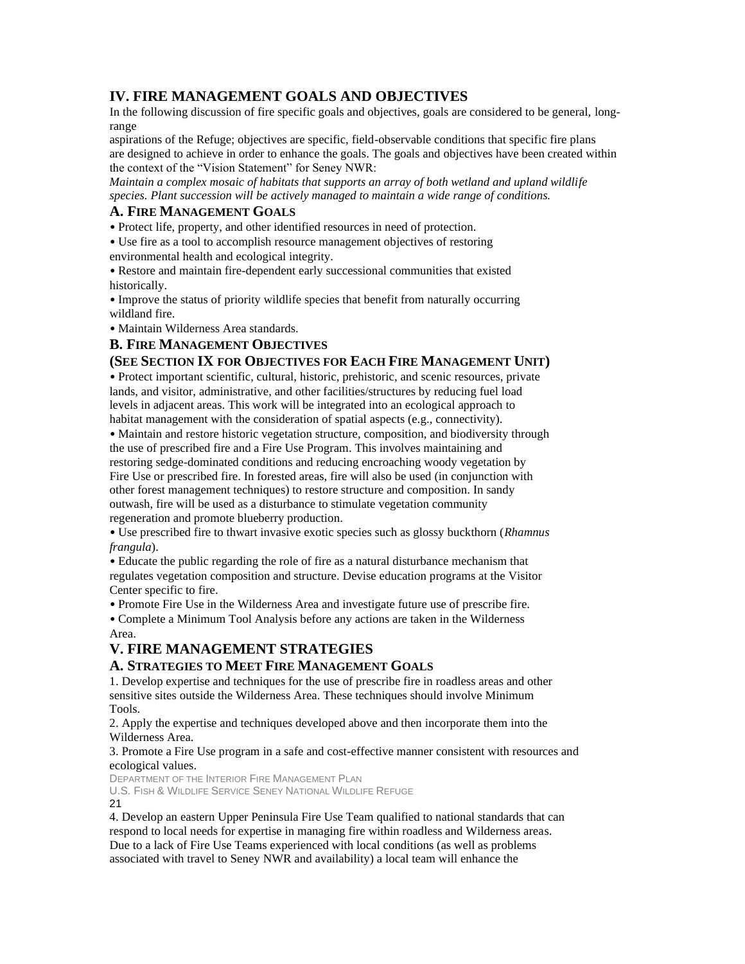## **IV. FIRE MANAGEMENT GOALS AND OBJECTIVES**

In the following discussion of fire specific goals and objectives, goals are considered to be general, longrange

aspirations of the Refuge; objectives are specific, field-observable conditions that specific fire plans are designed to achieve in order to enhance the goals. The goals and objectives have been created within the context of the "Vision Statement" for Seney NWR:

*Maintain a complex mosaic of habitats that supports an array of both wetland and upland wildlife species. Plant succession will be actively managed to maintain a wide range of conditions.* 

#### **A. FIRE MANAGEMENT GOALS**

• Protect life, property, and other identified resources in need of protection.

• Use fire as a tool to accomplish resource management objectives of restoring environmental health and ecological integrity.

• Restore and maintain fire-dependent early successional communities that existed historically.

• Improve the status of priority wildlife species that benefit from naturally occurring wildland fire.

• Maintain Wilderness Area standards.

#### **B. FIRE MANAGEMENT OBJECTIVES**

#### **(SEE SECTION IX FOR OBJECTIVES FOR EACH FIRE MANAGEMENT UNIT)**

• Protect important scientific, cultural, historic, prehistoric, and scenic resources, private lands, and visitor, administrative, and other facilities/structures by reducing fuel load levels in adjacent areas. This work will be integrated into an ecological approach to habitat management with the consideration of spatial aspects (e.g., connectivity).

• Maintain and restore historic vegetation structure, composition, and biodiversity through the use of prescribed fire and a Fire Use Program. This involves maintaining and restoring sedge-dominated conditions and reducing encroaching woody vegetation by Fire Use or prescribed fire. In forested areas, fire will also be used (in conjunction with other forest management techniques) to restore structure and composition. In sandy outwash, fire will be used as a disturbance to stimulate vegetation community regeneration and promote blueberry production.

• Use prescribed fire to thwart invasive exotic species such as glossy buckthorn (*Rhamnus frangula*).

• Educate the public regarding the role of fire as a natural disturbance mechanism that regulates vegetation composition and structure. Devise education programs at the Visitor Center specific to fire.

• Promote Fire Use in the Wilderness Area and investigate future use of prescribe fire.

• Complete a Minimum Tool Analysis before any actions are taken in the Wilderness Area.

## **V. FIRE MANAGEMENT STRATEGIES**

### **A. STRATEGIES TO MEET FIRE MANAGEMENT GOALS**

1. Develop expertise and techniques for the use of prescribe fire in roadless areas and other sensitive sites outside the Wilderness Area. These techniques should involve Minimum Tools.

2. Apply the expertise and techniques developed above and then incorporate them into the Wilderness Area.

3. Promote a Fire Use program in a safe and cost-effective manner consistent with resources and ecological values.

DEPARTMENT OF THE INTERIOR FIRE MANAGEMENT PLAN

U.S. FISH & WILDLIFE SERVICE SENEY NATIONAL WILDLIFE REFUGE 21

4. Develop an eastern Upper Peninsula Fire Use Team qualified to national standards that can respond to local needs for expertise in managing fire within roadless and Wilderness areas. Due to a lack of Fire Use Teams experienced with local conditions (as well as problems associated with travel to Seney NWR and availability) a local team will enhance the